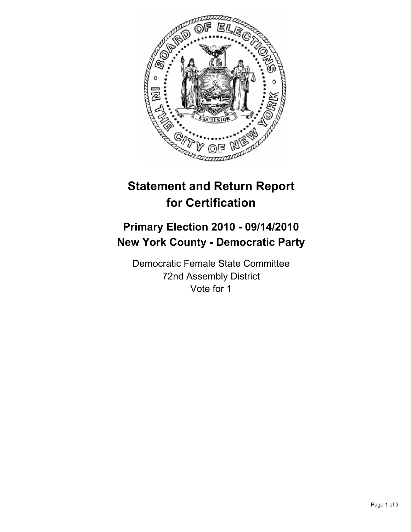

## **Statement and Return Report for Certification**

## **Primary Election 2010 - 09/14/2010 New York County - Democratic Party**

Democratic Female State Committee 72nd Assembly District Vote for 1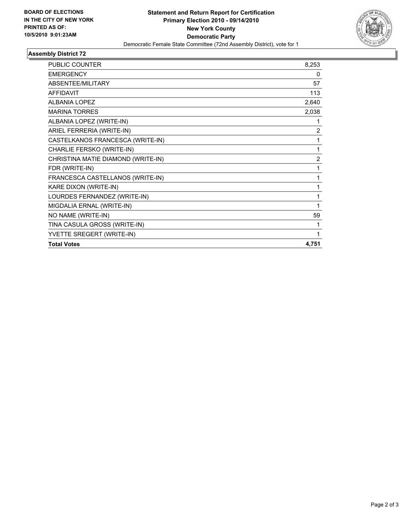

## **Assembly District 72**

| <b>PUBLIC COUNTER</b>              | 8,253          |
|------------------------------------|----------------|
| <b>EMERGENCY</b>                   | 0              |
| ABSENTEE/MILITARY                  | 57             |
| <b>AFFIDAVIT</b>                   | 113            |
| <b>ALBANIA LOPEZ</b>               | 2,640          |
| <b>MARINA TORRES</b>               | 2,038          |
| ALBANIA LOPEZ (WRITE-IN)           |                |
| ARIEL FERRERIA (WRITE-IN)          | $\overline{2}$ |
| CASTELKANOS FRANCESCA (WRITE-IN)   | 1              |
| CHARLIE FERSKO (WRITE-IN)          | 1              |
| CHRISTINA MATIE DIAMOND (WRITE-IN) | $\overline{2}$ |
| FDR (WRITE-IN)                     | 1              |
| FRANCESCA CASTELLANOS (WRITE-IN)   | 1              |
| KARE DIXON (WRITE-IN)              | 1              |
| LOURDES FERNANDEZ (WRITE-IN)       |                |
| MIGDALIA ERNAL (WRITE-IN)          | 1              |
| NO NAME (WRITE-IN)                 | 59             |
| TINA CASULA GROSS (WRITE-IN)       |                |
| YVETTE SREGERT (WRITE-IN)          | 1              |
| <b>Total Votes</b>                 | 4,751          |